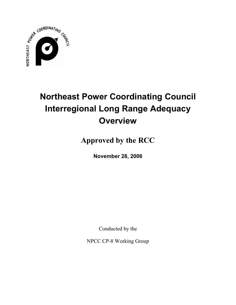

# **Northeast Power Coordinating Council Interregional Long Range Adequacy Overview**

**Approved by the RCC** 

**November 28, 2006** 

Conducted by the

NPCC CP-8 Working Group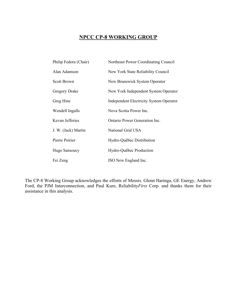# **NPCC CP-8 WORKING GROUP**

| Philip Fedora (Chair) | Northeast Power Coordinating Council    |
|-----------------------|-----------------------------------------|
| Alan Adamson          | New York State Reliability Council      |
| Scott Brown           | New Brunswick System Operator           |
| Gregory Drake         | New York Independent System Operator    |
| Greg Hine             | Independent Electricity System Operator |
| Wendell Ingalls       | Nova Scotia Power Inc.                  |
| Kevan Jefferies       | Ontario Power Generation Inc.           |
| J. W. (Jack) Martin   | National Grid USA                       |
| Pierre Poirier        | Hydro-Québec Distribution               |
| Hugo Sansoucy         | Hydro-Québec Production                 |
| Fei Zeng              | ISO New England Inc.                    |

The CP-8 Working Group acknowledges the efforts of Messrs. Glenn Haringa, GE Energy, Andrew Ford, the PJM Interconnection, and Paul Kure, Reliability*First* Corp. and thanks them for their assistance in this analysis.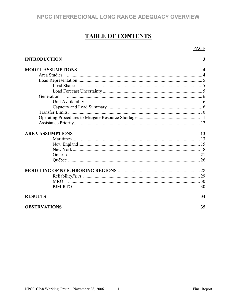# **TABLE OF CONTENTS**

**PAGE** 

| <b>INTRODUCTION</b>      | 3                |
|--------------------------|------------------|
| <b>MODEL ASSUMPTIONS</b> | $\boldsymbol{4}$ |
| Area Studies             |                  |
|                          |                  |
|                          |                  |
|                          |                  |
| Generation               |                  |
|                          |                  |
|                          |                  |
|                          |                  |
|                          |                  |
|                          |                  |
| <b>AREA ASSUMPTIONS</b>  | 13               |
|                          |                  |
|                          |                  |
|                          |                  |
|                          |                  |
|                          |                  |
|                          |                  |
|                          |                  |
| <b>MRO</b>               |                  |
|                          |                  |
| <b>RESULTS</b>           | 34               |
| <b>OBSERVATIONS</b>      | 35               |

NPCC CP-8 Working Group - November 28, 2006 1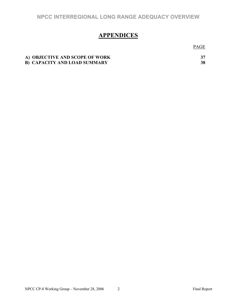# **APPENDICES**

PAGE **PAGE** 

| A) OBJECTIVE AND SCOPE OF WORK      |  |
|-------------------------------------|--|
| <b>B) CAPACITY AND LOAD SUMMARY</b> |  |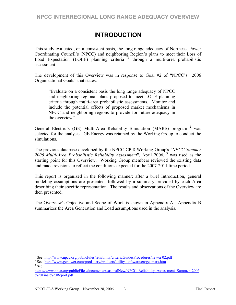# **INTRODUCTION**

This study evaluated, on a consistent basis, the long range adequacy of Northeast Power Coordinating Council's (NPCC) and neighboring Region's plans to meet their Loss of Load Expectation (LOLE) planning criteria **<sup>1</sup>** through a multi-area probabilistic assessment.

The development of this Overview was in response to Goal #2 of "NPCC's 2006 Organizational Goals" that states:

"Evaluate on a consistent basis the long range adequacy of NPCC and neighboring regional plans proposed to meet LOLE planning criteria through multi-area probabilistic assessments. Monitor and include the potential effects of proposed market mechanisms in NPCC and neighboring regions to provide for future adequacy in the overview"

General Electric's (GE) Multi-Area Reliability Simulation (MARS) program **<sup>2</sup>** was selected for the analysis. GE Energy was retained by the Working Group to conduct the simulations.

The previous database developed by the NPCC CP-8 Working Group's "*NPCC Summer 2006 Multi-Area Probabilistic Reliability Assessment*", April 2006, **<sup>3</sup>** was used as the starting point for this Overview. Working Group members reviewed the existing data and made revisions to reflect the conditions expected for the 2007-2011 time period.

This report is organized in the following manner: after a brief Introduction, general modeling assumptions are presented, followed by a summary provided by each Area describing their specific representation. The results and observations of the Overview are then presented.

The Overview's Objective and Scope of Work is shown in Appendix A. Appendix B summarizes the Area Generation and Load assumptions used in the analysis.

 $\overline{a}$ 

<sup>&</sup>lt;sup>1</sup> See: http://www.npcc.org/publicFiles/reliability/criteriaGuidesProcedures/new/a-02.pdf  $\frac{2}{5}$  See: http://www.gopover.com/prod\_sorv/producte/utility\_software/on/go\_mers\_htm

<sup>&</sup>lt;sup>2</sup> See: http://www.gepower.com/prod\_serv/products/utility\_software/en/ge\_mars.htm  $3$  See:

https://www.npcc.org/publicFiles/documents/seasonalNew/NPCC\_Reliability\_Assessment\_Summer\_2006 %20Final%20Report.pdf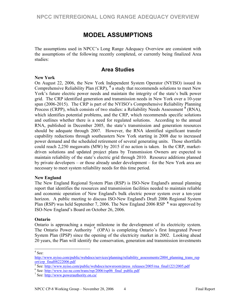# **MODEL ASSUMPTIONS**

The assumptions used in NPCC's Long Range Adequacy Overview are consistent with the assumptions of the following recently completed, or currently being finalized Area studies:

# **Area Studies**

#### **New York**

On August 22, 2006, the New York Independent System Operator (NYISO) issued its Comprehensive Reliability Plan (CRP), **<sup>4</sup>** a study that recommends solutions to meet New York's future electric power needs and maintain the integrity of the state's bulk power grid. The CRP identified generation and transmission needs in New York over a 10-year span (2006-2015). The CRP is part of the NYISO's Comprehensive Reliability Planning Process (CRPP), which consists of two studies: a Reliability Needs Assessment **<sup>5</sup>** (RNA), which identifies potential problems, and the CRP, which recommends specific solutions and outlines whether there is a need for regulated solutions. According to the annual RNA, published in December 2005, the state's transmission and generation resources should be adequate through 2007. However, the RNA identified significant transfer capability reductions through southeastern New York starting in 2008 due to increased power demand and the scheduled retirement of several generating units. Those shortfalls could reach 2,250 megawatts (MW) by 2015 if no action is taken. In the CRP, marketdriven solutions and updated project plans by Transmission Owners are expected to maintain reliability of the state's electric grid through 2010. Resource additions planned by private developers – or those already under development – for the New York area are necessary to meet system reliability needs for this time period.

#### **New England**

The New England Regional System Plan (RSP) is ISO-New England's annual planning report that identifies the resources and transmission facilities needed to maintain reliable and economic operation of New England's bulk electric power system over a ten-year horizon. A public meeting to discuss ISO-New England's Draft 2006 Regional System Plan (RSP) was held September 7, 2006. The New England 2006 RSP <sup>6</sup> was approved by ISO-New England's Board on October 26, 2006.

#### **Ontario**

Ontario is approaching a major milestone in the development of its electricity system. The Ontario Power Authority<sup>7</sup> (OPA) is completing Ontario's first Integrated Power System Plan (IPSP) since the opening of the electricity market in 2002. Looking ahead 20 years, the Plan will identify the conservation, generation and transmission investments

 $4$  See:

http://www.nyiso.com/public/webdocs/services/planning/reliability\_assessments/2004\_planning\_trans\_rep ort/crp $final08222006.pdf$ 

 $\frac{5}{8}$ See: http://www.nyiso.com/public/webdocs/newsroom/press\_releases/2005/rna\_final12212005.pdf

 $^6$  See:  $\frac{http://www.iso-ne.com/trans/rsp/2006/rsp06-final public.pdf}{http://www.iso-ne.com/trans/rsp/2006/rsp06-final public.pdf}$ 

 $\frac{7}{1}$  See: http://www.powerauthority.on.ca/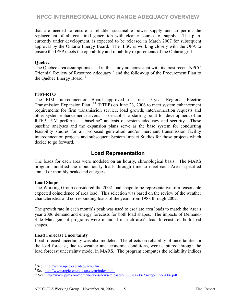that are needed to ensure a reliable, sustainable power supply and to permit the replacement of all coal-fired generation with cleaner sources of supply. The plan, currently under development, is expected to be released in March 2007 for subsequent approval by the Ontario Energy Board. The IESO is working closely with the OPA to ensure the IPSP meets the operability and reliability requirements of the Ontario grid.

# **Québec**

The Québec area assumptions used in this study are consistent with its most recent NPCC Triennial Review of Resource Adequacy **<sup>8</sup>** and the follow-up of the Procurement Plan to the Québec Energy Board. **<sup>9</sup>**

# **PJM-RTO**

The PJM Interconnection Board approved its first 15-year Regional Electric Transmission Expansion Plan **<sup>10</sup>** (RTEP) on June 23, 2006 to meet system enhancement requirements for firm transmission service, load growth, interconnection requests and other system enhancement drivers. To establish a starting point for development of an RTEP, PJM performs a "baseline" analysis of system adequacy and security. These baseline analyses and the expansion plans serve as the base system for conducting feasibility studies for all proposed generation and/or merchant transmission facility interconnection projects and subsequent System Impact Studies for those projects which decide to go forward.

# **Load Representation**

The loads for each area were modeled on an hourly, chronological basis. The MARS program modified the input hourly loads through time to meet each Area's specified annual or monthly peaks and energies.

# **Load Shape**

The Working Group considered the 2002 load shape to be representative of a reasonable expected coincidence of area load. This selection was based on the review of the weather characteristics and corresponding loads of the years from 1988 through 2002.

The growth rate in each month's peak was used to escalate area loads to match the Area's year 2006 demand and energy forecasts for both load shapes. The impacts of Demand-Side Management programs were included in each area's load forecast for both load shapes.

# **Load Forecast Uncertainty**

Load forecast uncertainty was also modeled.The effects on reliability of uncertainties in the load forecast, due to weather and economic conditions, were captured through the load forecast uncertainty model in MARS. The program computes the reliability indices

<sup>&</sup>lt;sup>8</sup> See: http://www.npcc.org/adequacy.cfm<br><sup>9</sup> See: http://www.npcc.org/adequacy.cfm

 $\frac{9}{10}$  See: http://www.regie-energie.qc.ca/en/index.html<br>  $\frac{10}{10}$  See: http://www.pjm.com/contributions/news-releases/2006/20060623-rtep-june-2006.pdf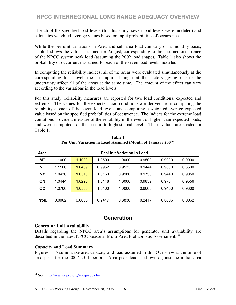at each of the specified load levels (for this study, seven load levels were modeled) and calculates weighted-average values based on input probabilities of occurrence.

While the per unit variations in Area and sub area load can vary on a monthly basis, Table 1 shows the values assumed for August, corresponding to the assumed occurrence of the NPCC system peak load (assuming the 2002 load shape). Table 1 also shows the probability of occurrence assumed for each of the seven load levels modeled.

In computing the reliability indices, all of the areas were evaluated simultaneously at the corresponding load level, the assumption being that the factors giving rise to the uncertainty affect all of the areas at the same time. The amount of the effect can vary according to the variations in the load levels.

For this study, reliability measures are reported for two load conditions: expected and extreme. The values for the expected load conditions are derived from computing the reliability at each of the seven load levels, and computing a weighted-average expected value based on the specified probabilities of occurrence. The indices for the extreme load conditions provide a measure of the reliability in the event of higher than expected loads, and were computed for the second-to-highest load level. These values are shaded in Table 1.

| <b>Area</b> | <b>Per-Unit Variation in Load</b> |        |        |        |        |        |        |
|-------------|-----------------------------------|--------|--------|--------|--------|--------|--------|
| <b>MT</b>   | 1.1000                            | 1.1000 | 1.0500 | 1.0000 | 0.9500 | 0.9000 | 0.9000 |
| <b>NE</b>   | 1.1100                            | 1.0469 | 0.9952 | 0.9533 | 0.9444 | 0.9000 | 0.8500 |
| <b>NY</b>   | 1.0430                            | 1.0310 | 1.0160 | 0.9980 | 0.9750 | 0.9440 | 0.9050 |
| <b>ON</b>   | 1.0444                            | 1.0296 | 1.0148 | 1.0000 | 0.9852 | 0.9704 | 0.9556 |
| QC          | 1.0700                            | 1.0550 | 1.0400 | 1.0000 | 0.9600 | 0.9450 | 0.9300 |
|             |                                   |        |        |        |        |        |        |
| Prob.       | 0.0062                            | 0.0606 | 0.2417 | 0.3830 | 0.2417 | 0.0606 | 0.0062 |

**Table 1 Per Unit Variation in Load Assumed (Month of January 2007)** 

# **Generation**

#### **Generator Unit Availability**

Details regarding the NPCC area's assumptions for generator unit availability are described in the latest NPCC Seasonal Multi-Area Probabilistic Assessment. **<sup>11</sup>**

# **Capacity and Load Summary**

 $\overline{a}$ 

Figures 1 -6 summarize area capacity and load assumed in this Overview at the time of area peak for the 2007-2011 period. Area peak load is shown against the initial area

<sup>11</sup> See: http://www.npcc.org/adequacy.cfm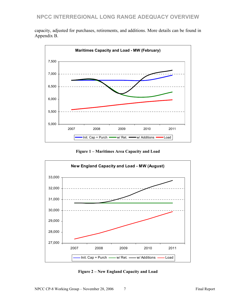capacity, adjusted for purchases, retirements, and additions. More details can be found in Appendix B.



**Figure 1 – Maritimes Area Capacity and Load**



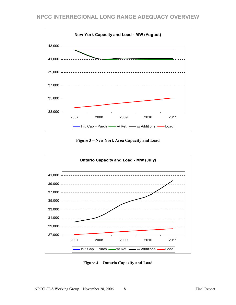

**Figure 3 – New York Area Capacity and Load** 



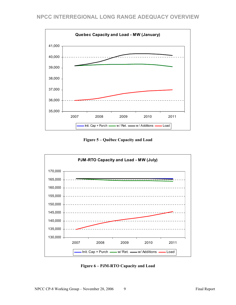

**Figure 5 – Québec Capacity and Load** 



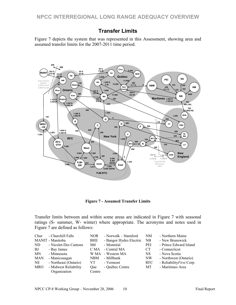# **Transfer Limits**

Figure 7 depicts the system that was represented in this Assessment, showing area and assumed transfer limits for the 2007-2011 time period.



**Figure 7 - Assumed Transfer Limits** 

Transfer limits between and within some areas are indicated in Figure 7 with seasonal ratings (S- summer, W- winter) where appropriate. The acronyms and notes used in Figure 7 are defined as follows:

| Chur       | - Churchill Falls     | <b>NOR</b> | - Norwalk – Stamford    | NM         | - Northern Maine          |
|------------|-----------------------|------------|-------------------------|------------|---------------------------|
|            | MANIT - Manitoba      | BHE        | - Bangor Hydro Electric | NB.        | - New Brunswick           |
| ND.        | - Nicolet-Des Cantons | Mtl        | - Montréal              | PEI        | - Prince Edward Island    |
| BJ         | - Bay James           | C MA       | - Central MA            | <b>CT</b>  | - Connecticut             |
| <b>MN</b>  | - Minnesota           | W MA       | - Western MA            | <b>NS</b>  | - Nova Scotia             |
| <b>MAN</b> | - Manicouagan         | <b>NBM</b> | - Millbank              | NW         | - Northwest (Ontario)     |
| NE         | - Northeast (Ontario) | VT.        | - Vermont               | <b>RFC</b> | - Reliability First Corp. |
| <b>MRO</b> | - Midwest Reliability | Oue        | - Québec Centre         | МT         | - Maritimes Area          |
|            | Organization          | Centre     |                         |            |                           |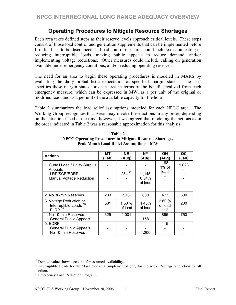# **Operating Procedures to Mitigate Resource Shortages**

Each area takes defined steps as their reserve levels approach critical levels. These steps consist of those load control and generation supplements that can be implemented before firm load has to be disconnected. Load control measures could include disconnecting or reducing interruptible loads, making public appeals to reduce demand, and/or implementing voltage reductions. Other measures could include calling on generation available under emergency conditions, and/or reducing operating reserves.

The need for an area to begin these operating procedures is modeled in MARS by evaluating the daily probabilistic expectation at specified margin states. The user specifies these margin states for each area in terms of the benefits realized from each emergency measure, which can be expressed in MW, as a per unit of the original or modified load, and as a per unit of the available capacity for the hour.

Table 2 summarizes the load relief assumptions modeled for each NPCC area. The Working Group recognizes that Areas may invoke these actions in any order, depending on the situation faced at the time; however, it was agreed that modeling the actions as in the order indicated in Table 2 was a reasonable approximation for this analysis.

| <b>Actions</b>                                                                                  | МT    | <b>NE</b>         | <b>NY</b>                 | <b>ON</b>               | QC    |
|-------------------------------------------------------------------------------------------------|-------|-------------------|---------------------------|-------------------------|-------|
|                                                                                                 | (Feb) | (Aug)             | (Aug)                     | (Aug)                   | (Jan) |
| 1. Curtail Load / Utility Surplus<br>Appeals<br>LRP/SCR/EDRP<br><b>Manual Voltage Reduction</b> |       | $284^{12}$        | 1,145<br>0.54%<br>of load | 188<br>1% of<br>load    | 1,023 |
| 2. No 30-min Reserves                                                                           | 233   | 578               | 600                       | 473                     | 500   |
| 3. Voltage Reduction or<br>Interruptible Loads <sup>13</sup><br>$ELRP$ <sup>14</sup>            | 531   | 1.50 %<br>of load | 1.43%<br>of load          | 2.60%<br>of load<br>112 | 200   |
| 4. No 10-min Reserves                                                                           | 625   | 1,001             |                           | 895                     | 750   |
| <b>General Public Appeals</b>                                                                   |       |                   | 158                       |                         |       |
| 5. EDRP                                                                                         |       |                   |                           | 115                     |       |
| <b>General Public Appeals</b>                                                                   |       |                   |                           |                         |       |
| No 10-min Reserves                                                                              |       |                   | 1,200                     |                         |       |

**Table 2 NPCC Operating Procedures to Mitigate Resource Shortages Peak Month Load Relief Assumptions - MW** 

 $\overline{a}$ 

 $12$  Derated value shown accounts for assumed availability.

<sup>&</sup>lt;sup>13</sup> Interruptible Loads for the Maritimes area (implemented only for the Area), Voltage Reduction for all others. 14 Emergency Load Reduction Program.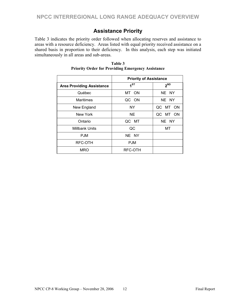# **Assistance Priority**

Table 3 indicates the priority order followed when allocating reserves and assistance to areas with a resource deficiency. Areas listed with equal priority received assistance on a shared basis in proportion to their deficiency. In this analysis, each step was initiated simultaneously in all areas and sub-areas.

|                                  | <b>Priority of Assistance</b> |          |
|----------------------------------|-------------------------------|----------|
|                                  |                               |          |
| <b>Area Providing Assistance</b> | 1 <sup>ST</sup>               | $2^{ND}$ |
| Québec                           | MT ON                         | NE NY    |
| Maritimes                        | QC ON                         | NE NY    |
| New England                      | NY.                           | QC MT ON |
| New York                         | <b>NE</b>                     | QC MT ON |
| Ontario                          | QC MT                         | NE NY    |
| <b>Millbank Units</b>            | QC                            | МT       |
| <b>PJM</b>                       | NE NY                         |          |
| RFC-OTH                          | <b>PJM</b>                    |          |
| <b>MRO</b>                       | RFC-OTH                       |          |

**Table 3 Priority Order for Providing Emergency Assistance**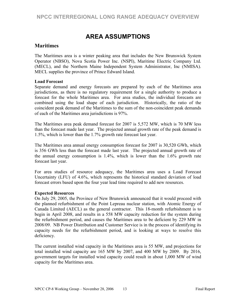# **AREA ASSUMPTIONS**

# **Maritimes**

The Maritimes area is a winter peaking area that includes the New Brunswick System Operator (NBSO), Nova Scotia Power Inc. (NSPI), Maritime Electric Company Ltd. (MECL), and the Northern Maine Independent System Administrator, Inc (NMISA). MECL supplies the province of Prince Edward Island.

#### **Load Forecast**

Separate demand and energy forecasts are prepared by each of the Maritimes area jurisdictions, as there is no regulatory requirement for a single authority to produce a forecast for the whole Maritimes area. For area studies, the individual forecasts are combined using the load shape of each jurisdiction. Historically, the ratio of the coincident peak demand of the Maritimes to the sum of the non-coincident peak demands of each of the Maritimes area jurisdictions is 97%.

The Maritimes area peak demand forecast for 2007 is 5,572 MW, which is 70 MW less than the forecast made last year. The projected annual growth rate of the peak demand is 1.5%, which is lower than the 1.7% growth rate forecast last year.

The Maritimes area annual energy consumption forecast for 2007 is 30,520 GWh, which is 356 GWh less than the forecast made last year. The projected annual growth rate of the annual energy consumption is 1.4%, which is lower than the 1.6% growth rate forecast last year.

For area studies of resource adequacy, the Maritimes area uses a Load Forecast Uncertainty (LFU) of 4.6%, which represents the historical standard deviation of load forecast errors based upon the four year lead time required to add new resources.

#### **Expected Resources**

On July 29, 2005, the Province of New Brunswick announced that it would proceed with the planned refurbishment of the Point Lepreau nuclear station, with Atomic Energy of Canada Limited (AECL) as the general contractor. This 18-month refurbishment is to begin in April 2008, and results in a 558 MW capacity reduction for the system during the refurbishment period, and causes the Maritimes area to be deficient by 229 MW in 2008/09. NB Power Distribution and Customer Service is in the process of identifying its capacity needs for the refurbishment period, and is looking at ways to resolve this deficiency.

The current installed wind capacity in the Maritimes area is 55 MW, and projections for total installed wind capacity are 165 MW by 2007, and 400 MW by 2009. By 2016, government targets for installed wind capacity could result in about 1,000 MW of wind capacity for the Maritimes area.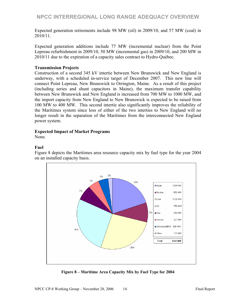Expected generation retirements include 98 MW (oil) in 2009/10, and 57 MW (coal) in 2010/11.

Expected generation additions include 77 MW (incremental nuclear) from the Point Lepreau refurbishment in 2009/10, 50 MW (incremental gas) in 2009/10, and 200 MW in 2010/11 due to the expiration of a capacity sales contract to Hydro-Québec.

#### **Transmission Projects**

Construction of a second 345 kV intertie between New Brunswick and New England is underway, with a scheduled in-service target of December 2007. This new line will connect Point Lepreau, New Brunswick to Orrington, Maine. As a result of this project (including series and shunt capacitors in Maine), the maximum transfer capability between New Brunswick and New England is increased from 700 MW to 1000 MW, and the import capacity from New England to New Brunswick is expected to be raised from 100 MW to 400 MW. This second intertie also significantly improves the reliability of the Maritimes system since loss of either of the two interties to New England will no longer result in the separation of the Maritimes from the interconnected New England power system.

#### **Expected Impact of Market Programs**

None.

#### **Fuel**

Figure 8 depicts the Maritimes area resource capacity mix by fuel type for the year 2004 on an installed capacity basis.



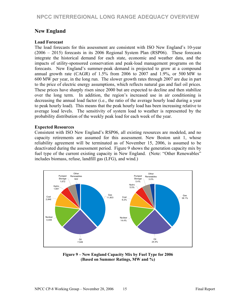# **New England**

### **Load Forecast**

The load forecasts for this assessment are consistent with ISO New England's 10-year (2006 – 2015) forecasts in its 2006 Regional System Plan (RSP06). These forecasts integrate the historical demand for each state, economic and weather data, and the impacts of utility-sponsored conservation and peak-load management programs on the forecasts. New England's summer-peak demand is projected to grow at a compound annual growth rate (CAGR) of 1.5% from 2006 to 2007 and 1.9%, or 500 MW to 600 MW per year, in the long run. The slower growth rates through 2007 are due in part to the price of electric energy assumptions, which reflects natural gas and fuel oil prices. These prices have sharply risen since 2000 but are expected to decline and then stabilize over the long term. In addition, the region's increased use in air conditioning is decreasing the annual load factor (i.e., the ratio of the average hourly load during a year to peak hourly load). This means that the peak hourly load has been increasing relative to average load levels. The sensitivity of system load to weather is represented by the probability distribution of the weekly peak load for each week of the year.

#### **Expected Resources**

Consistent with ISO New England's RSP06, all existing resources are modeled, and no capacity retirements are assumed for this assessment. New Boston unit 1, whose reliability agreement will be terminated as of November 15, 2006, is assumed to be deactivated during the assessment period. Figure 9 shows the generation capacity mix by fuel type of the current existing capacity in New England. (Note: "Other Renewables" includes biomass, refuse, landfill gas (LFG), and wind.)



**Figure 9 – New England Capacity Mix by Fuel Type for 2006 (Based on Summer Ratings, MW and %)**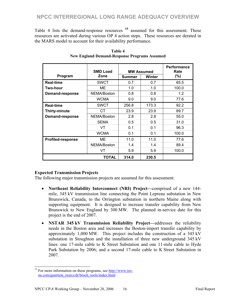Table 4 lists the demand-response resources **<sup>15</sup>** assumed for this assessment. These resources are activated during various OP 4 action steps. These resources are derated in the MARS model to account for their availability performance.

|                          | <b>SMD Load</b> | <b>MW Assumed</b> | Performance<br>Rate |        |
|--------------------------|-----------------|-------------------|---------------------|--------|
| Program                  | Zone            | <b>Summer</b>     | <b>Winter</b>       | $(\%)$ |
| <b>Real-time</b>         | <b>SWCT</b>     | 0.7               | 0.7                 | 65.5   |
| Two-hour                 | ME              | 1.0               | 1.0                 | 100.0  |
| Demand-response          | NEMA/Boston     | 0.8               | 0.8                 | 1.2    |
|                          | <b>WCMA</b>     | 9.0               | 9.0                 | 77.6   |
| <b>Real-time</b>         | <b>SWCT</b>     | 256.8             | 173.3               | 92.2   |
| Thirty-minute            | CТ              | 23.9              | 23.9                | 89.7   |
| <b>Demand-response</b>   | NEMA/Boston     | 2.8               | 2.8                 | 55.0   |
|                          | <b>SEMA</b>     | 0.5               | 0.5                 | 31.0   |
|                          | VT              | 0.1               | 0.1                 | 96.3   |
|                          | <b>WCMA</b>     | 0.1               | 0.1                 | 100.0  |
| <b>Profiled-response</b> | ME              | 11.0              | 11.0                | 77.6   |
| NEMA/Boston              |                 | 1.4               | 1.4                 | 89.4   |
|                          | VT              | 5.9               | 5.9                 | 100.0  |
|                          | <b>TOTAL</b>    | 314.0             | 230.5               |        |

**Table 4 New England Demand-Response Programs Assumed** 

# **Expected Transmission Projects**

The following major transmission projects are assumed for this assessment:

- **Northeast Reliability Interconnect (NRI) Project—**comprised of a new 144 mile, 345 kV transmission line connecting the Point Lepreau substation in New Brunswick, Canada, to the Orrington substation in northern Maine along with supporting equipment. It is designed to increase transfer capability from New Brunswick to New England by 300 MW. The planned in-service date for this project is the end of 2007.
- **NSTAR 345 kV Transmission Reliability Project—**addresses the reliability needs in the Boston area and increases the Boston-import transfer capability by approximately 1,000 MW. This project includes the construction of a 345 kV substation in Stoughton and the installation of three new underground 345 kV lines: one 17-mile cable to K Street Substation and one 11-mile cable to Hyde Park Substation by 2006; and a second 17-mile cable to K Street Substation in 2007.

 $\overline{a}$ 

 $15$  For more information on these programs, see  $\frac{http://www.iso-15)}{http://www.iso-15}$ ne.com/genrtion\_resrcs/dr/broch\_tools/index.html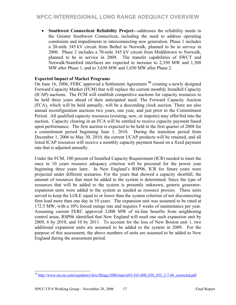• **Southwest Connecticut Reliability Project—**addresses the reliability needs in the Greater Southwest Connecticut, including the need to address operating constraints and impediments to interconnecting new generation. Phase 1 includes a 20-mile 345 kV circuit from Bethel to Norwalk, planned to be in service in 2006. Phase 2 includes a 70-mile 345 kV circuit from Middletown to Norwalk, planned to be in service in 2009. The transfer capabilities of SWCT and Norwalk/Stamford interfaces are expected to increase to 2,350 MW and 1,300 MW after Phase 1, and to 3,650 MW and 1,650 MW after Phase 2.

### **Expected Impact of Market Programs**

On June 16, 2006, FERC approved a Settlement Agreement **<sup>16</sup>** creating a newly designed Forward Capacity Market (FCM) that will replace the current monthly Installed Capacity (ICAP) auctions. The FCM will establish competitive auctions for capacity resources to be held three years ahead of their anticipated need. The Forward Capacity Auction (FCA), which will be held annually, will be a descending clock auction. There are also annual reconfiguration auctions two years, one year, and just prior to the Commitment Period. All qualified capacity resources (existing, new, or imports) may offer/bid into the auction. Capacity clearing in an FCA will be entitled to receive capacity payment based upon performance. The first auction is expected to be held in the first quarter of 2008 for a commitment period beginning June 1, 2010. During the transition period from December 1, 2006 to May 30, 2010, the current UCAP products will be retained, and all listed ICAP resources will receive a monthly capacity payment based on a fixed payment rate that is adjusted annually.

Under the FCM, 100 percent of Installed Capacity Requirement (ICR) needed to meet the once in 10 years resource adequacy criterion will be procured for the power year beginning three years later. In New England's RSP06, ICR for future years were projected under different scenarios. For the years that showed a capacity shortfall, the amount of resources that must be added to the system is determined. Since the type of resources that will be added to the system is presently unknown, generic generatorexpansion units were added to the system as needed as resource proxies. These units served to keep the LOLE equal to or lower than the system criterion of not disconnecting firm load more than one day in 10 years. The expansion unit was assumed to be rated at 172.5 MW, with a 10% forced outage rate and requires 5 weeks of maintenance per year. Assuming current FERC approved 2,000 MW of tie-line benefits from neighboring control areas, RSP06 identified that New England will need one such expansion unit by 2009, 6 by 2010, and 10 by 2011. To account for the loss of New Boston unit 1, two additional expansion units are assumed to be added to the system in 2009. For the purpose of this assessment, the above numbers of units are assumed to be added to New England during the assessment period.

 $\overline{\phantom{a}}$ <sup>16</sup> http://www.iso-ne.com/regulatory/ferc/filings/2006/mar/er03-563-000\_030\_055\_3-7-06\_corrected.pdf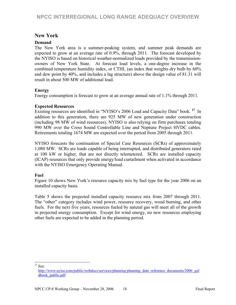# **New York**

### **Demand**

The New York area is a summer-peaking system, and summer peak demands are expected to grow at an average rate of 0.9%, through 2011. The forecast developed by the NYISO is based on historical weather-normalized loads provided by the transmissionowners of New York State. At forecast load levels, a one-degree increase in the combined temperature humidity index, or CTHI, (an index that weights dry bulb by 60% and dew point by 40%, and includes a lag structure) above the design value of 81.31 will result in about 500 MW of additional load.

### **Energy**

Energy consumption is forecast to grow at an average annual rate of 1.1% through 2011.

### **Expected Resources**

Existing resources are identified in "NYISO's 2006 Load and Capacity Data" book. **<sup>17</sup>** In addition to this generation, there are 925 MW of new generation under construction (including 98 MW of wind resources). NYISO is also relying on firm purchases totaling 990 MW over the Cross Sound Controllable Line and Neptune Project HVDC cables. Retirements totaling 1674 MW are expected over the period from 2005 through 2011.

NYISO forecasts the continuation of Special Case Resources (SCRs) of approximately 1,080 MW. SCRs are loads capable of being interrupted, and distributed generators rated at 100 kW or higher, that are not directly telemetered. SCRs are installed capacity (ICAP) resources that only provide energy/load curtailment when activated in accordance with the NYISO Emergency Operating Manual.

# **Fuel**

Figure 10 shows New York's resource capacity mix by fuel type for the year 2006 on an installed capacity basis.

Table 5 shows the projected installed capacity resource mix from 2007 through 2011. The "other" category includes wind power, resource recovery, wood burning, and other fuels. For the next five years, resources fueled by natural gas will meet all of the growth in projected energy consumption. Except for wind energy, no new resources employing other fuels are expected to be added in the planning period.

l  $17$  See:

http://www.nyiso.com/public/webdocs/services/planning/planning\_data\_reference\_documents/2006\_gol dbook\_public.pdf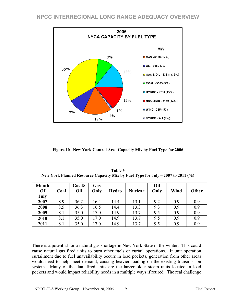

**Figure 10– New York Control Area Capacity Mix by Fuel Type for 2006** 

| Table 5                                                                          |
|----------------------------------------------------------------------------------|
| New York Planned Resource Capacity Mix by Fuel Type for July $-2007$ to 2011 (%) |

| <b>Month</b><br>Of<br>July | Coal | Gas $\&$<br>Oil | Gas<br>Only | <b>Hydro</b> | <b>Nuclear</b> | Oil<br>Only | Wind | Other |
|----------------------------|------|-----------------|-------------|--------------|----------------|-------------|------|-------|
| 2007                       | 8.9  | 36.2            | 16.4        | 14.4         | 13.1           | 9.2         | 0.9  | 0.9   |
| 2008                       | 8.5  | 36.3            | 16.5        | 14.4         | 13.3           | 9.3         | 0.9  | 0.9   |
| 2009                       | 8.1  | 35.0            | 17.0        | 14.9         | 13.7           | 9.5         | 0.9  | 0.9   |
| 2010                       | 8.1  | 35.0            | 17.0        | 14.9         | 13.7           | 9.5         | 0.9  | 0.9   |
| 2011                       | 8.1  | 35.0            | 17.0        | 14.9         | 13.7           | 9.5         | 0.9  | 0.9   |

There is a potential for a natural gas shortage in New York State in the winter. This could cause natural gas fired units to burn other fuels or curtail operations. If unit operation curtailment due to fuel unavailability occurs in load pockets, generation from other areas would need to help meet demand, causing heavier loading on the existing transmission system. Many of the dual fired units are the larger older steam units located in load pockets and would impact reliability needs in a multiple ways if retired. The real challenge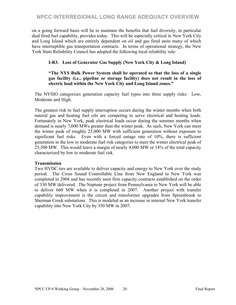on a going forward basis will be to maintain the benefits that fuel diversity, in particular dual fired fuel capability, provides today. This will be especially critical in New York City and Long Island which are entirely dependent on oil and gas fired units many of which have interruptible gas transportation contracts. In terms of operational strategy, the New York State Reliability Council has adopted the following local reliability rule:

# **I-R3. Loss of Generator Gas Supply (New York City & Long Island)**

#### **"The NYS Bulk Power System shall be operated so that the loss of a single gas facility (i.e., pipeline or storage facility) does not result in the loss of electric load within the New York City and Long Island zones."**

The NYSIO categorizes generation capacity fuel types into three supply risks: Low, Moderate and High.

The greatest risk to fuel supply interruption occurs during the winter months when both natural gas and heating fuel oils are competing to serve electrical and heating loads. Fortunately in New York, peak electrical loads occur during the summer months when demand is nearly 7,000 MWs greater than the winter peak. As such, New York can meet the winter peak of roughly 25,000 MW with sufficient generation without exposure to significant fuel risks. Even with a forced outage rate of 10%, there is sufficient generation in the low to moderate fuel risk categories to meet the winter electrical peak of 25,500 MW. This would leave a margin of nearly 4,000 MW or 14% of the total capacity characterized by low to moderate fuel risk.

#### **Transmission**

Two HVDC ties are available to deliver capacity and energy to New York over the study period. The Cross Sound Controllable Line from New England to New York was completed in 2004 and has recently seen firm capacity contracts established on the order of 330 MW delivered. The Neptune project from Pennsylvania to New York will be able to deliver 660 MW when it is completed in 2007. Another project with transfer capability improvement is the circuit and transformer upgrades from Sprainbrook to Sherman Creek substations. This is modeled as an increase in internal New York transfer capability into New York City by 350 MW in 2007.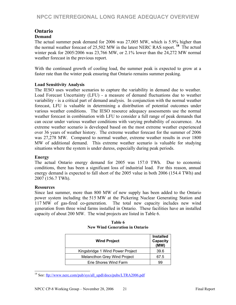# **Ontario**

# **Demand**

The actual summer peak demand for 2006 was 27,005 MW, which is 5.9% higher than the normal weather forecast of 25,502 MW in the latest NERC RAS report. **<sup>18</sup>** The actual winter peak for 2005/2006 was 23,766 MW, or 2.1% lower than the 24,272 MW normal weather forecast in the previous report.

With the continued growth of cooling load, the summer peak is expected to grow at a faster rate than the winter peak ensuring that Ontario remains summer peaking.

### **Load Sensitivity Analysis**

The IESO uses weather scenarios to capture the variability in demand due to weather. Load Forecast Uncertainty (LFU) - a measure of demand fluctuations due to weather variability - is a critical part of demand analysis. In conjunction with the normal weather forecast, LFU is valuable in determining a distribution of potential outcomes under various weather conditions. The IESO resource adequacy assessments use the normal weather forecast in combination with LFU to consider a full range of peak demands that can occur under various weather conditions with varying probability of occurrence. An extreme weather scenario is developed based on the most extreme weather experienced over 36 years of weather history. The extreme weather forecast for the summer of 2006 was 27,278 MW. Compared to normal weather, extreme weather results in over 1800 MW of additional demand. This extreme weather scenario is valuable for studying situations where the system is under duress, especially during peak periods.

#### **Energy**

The actual Ontario energy demand for 2005 was 157.0 TWh. Due to economic conditions, there has been a significant loss of industrial load. For this reason, annual energy demand is expected to fall short of the 2005 value in both 2006 (154.4 TWh) and 2007 (156.7 TWh).

#### **Resources**

 $\overline{\phantom{a}}$ 

Since last summer, more than 800 MW of new supply has been added to the Ontario power system including the 515 MW at the Pickering Nuclear Generating Station and 117 MW of gas-fired co-generation. The total new capacity includes new wind generation from three wind farms installed in Ontario. These facilities have an installed capacity of about 200 MW. The wind projects are listed in Table 6.

| <b>Wind Project</b>                 | <b>Installed</b><br>Capacity<br>(MW) |
|-------------------------------------|--------------------------------------|
| Kingsbridge 1 Wind Power Project    | 39.6                                 |
| <b>Melancthon Grey Wind Project</b> | 67.5                                 |
| Erie Shores Wind Farm               | ąд                                   |

**Table 6 New Wind Generation in Ontario** 

<sup>&</sup>lt;sup>18</sup> See: ftp://www.nerc.com/pub/sys/all\_updl/docs/pubs/LTRA2006.pdf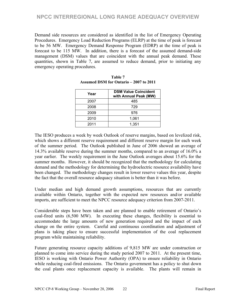Demand side resources are considered as identified in the list of Emergency Operating Procedures. Emergency Load Reduction Programs (ELRP) at the time of peak is forecast to be 56 MW. Emergency Demand Response Program (EDRP) at the time of peak is forecast to be 115 MW. In addition, there is a forecast of the assumed demand-side management (DSM) values that are coincident with the annual peak demand. These quantities, shown in Table 7, are assumed to reduce demand, prior to initiating any emergency operating procedures.

| Year | <b>DSM Value Coincident</b><br>with Annual Peak (MW) |
|------|------------------------------------------------------|
| 2007 | 485                                                  |
| 2008 | 729                                                  |
| 2009 | 976                                                  |
| 2010 | 1,061                                                |
| 2011 | 1,351                                                |

| <b>Table 7</b>                                |  |  |  |  |  |  |
|-----------------------------------------------|--|--|--|--|--|--|
| <b>Assumed DSM for Ontario – 2007 to 2011</b> |  |  |  |  |  |  |

The IESO produces a week by week Outlook of reserve margins, based on levelized risk, which shows a different reserve requirement and different reserve margin for each week of the summer period. The Outlook published in June of 2006 showed an average of 14.3% available reserve during the summer months, compared to an average of 16.0% a year earlier. The weekly requirement in the June Outlook averages about 15.6% for the summer months. However, it should be recognized that the methodology for calculating demand and the methodology for determining the hydroelectric resource availability have been changed. The methodology changes result in lower reserve values this year, despite the fact that the overall resource adequacy situation is better than it was before.

Under median and high demand growth assumptions, resources that are currently available within Ontario, together with the expected new resources and/or available imports, are sufficient to meet the NPCC resource adequacy criterion from 2007-2011.

Considerable steps have been taken and are planned to enable retirement of Ontario's coal-fired units (6,500 MW). In executing these changes, flexibility is essential to accommodate the large amounts of new generation required and the impact of each change on the entire system. Careful and continuous coordination and adjustment of plans is taking place to ensure successful implementation of the coal replacement program while maintaining reliability.

Future generating resource capacity additions of 9,815 MW are under construction or planned to come into service during the study period 2007 to 2011. At the present time, IESO is working with Ontario Power Authority (OPA) to ensure reliability in Ontario while reducing coal-fired emissions. The Ontario government has a policy to shut down the coal plants once replacement capacity is available. The plants will remain in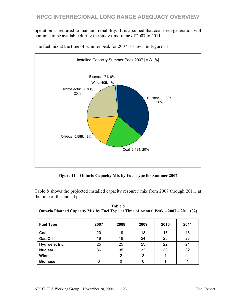operation as required to maintain reliability. It is assumed that coal fired generation will continue to be available during the study timeframe of 2007 to 2011.



The fuel mix at the time of summer peak for 2007 is shown in Figure 11.

**Figure 11 – Ontario Capacity Mix by Fuel Type for Summer 2007** 

Table 8 shows the projected installed capacity resource mix from 2007 through 2011, at the time of the annual peak.

| Table 8                                                                            |
|------------------------------------------------------------------------------------|
| Ontario Planned Capacity Mix by Fuel Type at Time of Annual Peak – 2007 – 2011 (%) |

| <b>Fuel Type</b> | 2007 | 2008 | 2009 | 2010 | 2011 |
|------------------|------|------|------|------|------|
| Coal             | 20   | 19   | 18   | 17   | 16   |
| Gas/Oil          | 18   | 19   | 24   | 25   | 28   |
| Hydroelectric    | 25   | 25   | 23   | 22   | 21   |
| <b>Nuclear</b>   | 36   | 35   | 32   | 30   | 32   |
| Wind             |      | 2    | 3    |      |      |
| <b>Biomass</b>   | 0    |      |      |      |      |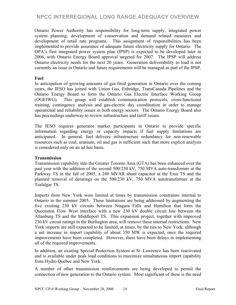Ontario Power Authority has responsibility for long-term supply, integrated power system planning, development of conservation and demand related measures and development of retail rate programs. This assignment of responsibilities has been implemented to provide assurance of adequate future electricity supply for Ontario. The OPA's first integrated power system plan (IPSP) is expected to be developed later in 2006, with Ontario Energy Board approval targeted for 2007. The IPSP will address Ontario electricity needs for the next 20 years. Generation deliverability to load is not currently an issue in Ontario and future requirements will be managed as part of the IPSP.

### **Fuel**

In anticipation of growing amounts of gas-fired generation in Ontario over the coming years, the IESO has joined with Union Gas, Enbridge, TransCanada Pipelines and the Ontario Energy Board to form the Ontario Gas Electric Interface Working Group (OGEIWG). This group will establish communication protocols, cross-functional training, contingency analysis and gas-electric day coordination in order to manage operational and reliability issues in both energy sectors. The Ontario Energy Board also has proceedings underway to review infrastructure and tariff issues.

The IESO requires generator market participants in Ontario to provide specific information regarding energy or capacity impacts if fuel supply limitations are anticipated. In general, fuel delivery infrastructure redundancy for non-renewable resources such as coal, uranium, oil and gas is sufficient such that more explicit analysis is considered only on an ad hoc basis.

# **Transmission**

Transmission capability into the Greater Toronto Area (GTA) has been enhanced over the past year with the addition of the second 500/230 kV, 750 MVA auto-transformer at the Parkway TS in the fall of 2005, a 240 MVAR shunt capacitor at the Essa TS and the planned removal of deratings on the 500/230 kV, 750 MVA autotransformer at the Trafalgar TS.

Imports from New York were limited at times by transmission constraints internal to Ontario in the summer 2005. These limitations are being addressed by augmenting the five existing 230 kV circuits between Niagara Falls and Hamilton that form the Queenston Flow West interface with a new 230 kV double circuit line between the Allanburg TS and the Middleport TS. This expansion project, together with improved 230 kV circuit ratings in the Burlington area, will remove these internal restrictions. New York imports are still expected to be limited, at times, by the ties to New York, although a net increase in import capability of about 350 MW is expected, once the required improvements have been completed. However, there have been delays in implementing all of the required improvements.

In addition, an existing Special Protection System at St. Lawrence has been reactivated and is available under peak load conditions to maximize simultaneous import capability from Hydro Quebec and New York.

A number of other transmission reinforcements are being developed to permit the connection of new generation to the Ontario system. Most significant of these is the need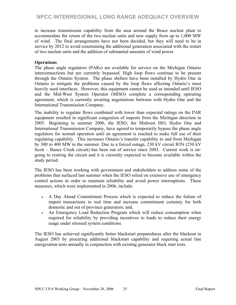to increase transmission capability from the area around the Bruce nuclear plant to accommodate the return of the two nuclear units and new supply from up to 1,000 MW of wind. The final arrangements have not been decided, but they will need to be in service by 2012 to avoid constraining the additional generation associated with the restart of two nuclear units and the addition of substantial amounts of wind power.

### **Operations**

The phase angle regulators (PARs) are available for service on the Michigan Ontario interconnections but are currently bypassed. High loop flows continue to be present through the Ontario System. The phase shifters have been installed by Hydro One in Ontario to mitigate the problems caused by the loop flows affecting Ontario's most heavily used interfaces. However, this equipment cannot be used as intended until IESO and the Mid-West System Operator (MISO) complete a corresponding operating agreement, which is currently awaiting negotiations between with Hydro One and the International Transmission Company.

The inability to regulate flows combined with lower than expected ratings on the PAR equipment resulted in significant congestion of imports from the Michigan direction in 2005. Beginning in summer 2006, the IESO, the Midwest ISO, Hydro One and International Transmission Company, have agreed to temporarily bypass the phase angle regulators for normal operation until an agreement is reached to make full use of their regulating capability. This increases Ontario's transfer capability to and from Michigan by 300 to 400 MW in the summer. Due to a forced outage, 230 kV circuit B3N (230 kV Scott – Bunce Creek circuit) has been out of service since 2003. Current work is ongoing to restring the circuit and it is currently expected to become available within the study period.

The IESO has been working with government and stakeholders to address some of the problems that surfaced last summer when the IESO relied on extensive use of emergency control actions in order to maintain reliability and avoid power interruptions. These measures, which were implemented in 2006, include:

- A Day Ahead Commitment Process which is expected to reduce the failure of import transactions in real time and increase commitment certainty for both domestic and out of province generators; and,
- An Emergency Load Reduction Program which will reduce consumption when required for reliability by providing incentives to loads to reduce their energy usage under stressed system conditions.

The IESO has achieved significantly better blackstart preparedness after the blackout in August 2003 by procuring additional blackstart capability and requiring actual line energization tests annually in conjunction with existing generator black start tests.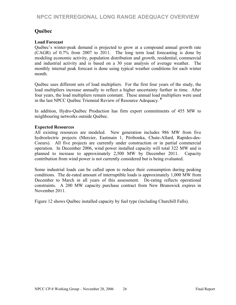# **Québec**

### **Load Forecast**

Québec's winter-peak demand is projected to grow at a compound annual growth rate (CAGR) of 0.7% from 2007 to 2011. The long term load forecasting is done by modeling economic activity, population distribution and growth, residential, commercial and industrial activity and is based on a 30 year analysis of average weather. The monthly internal peak forecast is done using typical weather conditions for each winter month.

Québec uses different sets of load multipliers. For the first four years of the study, the load multipliers increase annually to reflect a higher uncertainty further in time. After four years, the load multipliers remain constant. These annual load multipliers were used in the last NPCC Québec Triennial Review of Resource Adequacy. **<sup>8</sup>**

In addition, Hydro-Québec Production has firm export commitments of 455 MW to neighbouring networks outside Québec.

#### **Expected Resources**

All existing resources are modeled. New generation includes 986 MW from five hydroelectric projects (Mercier, Eastmain 1, Péribonka, Chute-Allard, Rapides-des-Coeurs). All five projects are currently under construction or in partial commercial operation. In December 2006, wind power installed capacity will total 322 MW and is planned to increase to approximately 2,500 MW by December 2011. Capacity contribution from wind power is not currently considered but is being evaluated.

Some industrial loads can be called upon to reduce their consumption during peaking conditions. The de-rated amount of interruptible loads is approximately 1,000 MW from December to March in all years of this assessment. De-rating reflects operational constraints. A 200 MW capacity purchase contract from New Brunswick expires in November 2011.

Figure 12 shows Québec installed capacity by fuel type (including Churchill Falls).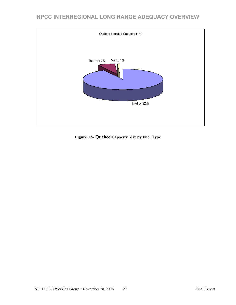

**Figure 12– Québec Capacity Mix by Fuel Type**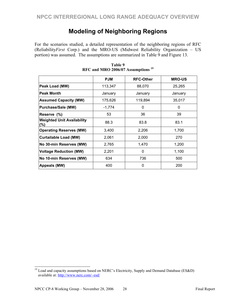# **Modeling of Neighboring Regions**

For the scenarios studied, a detailed representation of the neighboring regions of RFC (Reliability*First* Corp.) and the MRO-US (Midwest Reliability Organization – US portion) was assumed. The assumptions are summarized in Table 9 and Figure 13.

|                                              | <b>PJM</b> | <b>RFC-Other</b> | <b>MRO-US</b> |
|----------------------------------------------|------------|------------------|---------------|
| Peak Load (MW)                               | 113,347    | 88,070           | 25,265        |
| <b>Peak Month</b>                            | January    | January          | January       |
| <b>Assumed Capacity (MW)</b>                 | 175,626    | 119,894          | 35,017        |
| <b>Purchase/Sale (MW)</b>                    | $-1,774$   | 0                | 0             |
| Reserve (%)                                  | 53         | 36               | 39            |
| <b>Weighted Unit Availability</b><br>$(\% )$ | 88.3       | 83.8             | 83.1          |
| <b>Operating Reserves (MW)</b>               | 3,400      | 2,206            | 1,700         |
| <b>Curtailable Load (MW)</b>                 | 2,061      | 2,000            | 270           |
| No 30-min Reserves (MW)                      | 2,765      | 1,470            | 1,200         |
| <b>Voltage Reduction (MW)</b>                | 2,201      | $\Omega$         | 1,100         |
| No 10-min Reserves (MW)                      | 634        | 736              | 500           |
| Appeals (MW)                                 | 400        | 0                | 200           |

**Table 9 RFC and MRO 2006/07 Assumptions <sup>19</sup>**

 $\overline{\phantom{a}}$ 

 $19$  Load and capacity assumptions based on NERC's Electricity, Supply and Demand Database (ES&D) available at: http://www.nerc.com/~esd/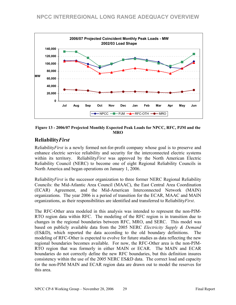

**Figure 13 - 2006/07 Projected Monthly Expected Peak Loads for NPCC, RFC, PJM and the MRO** 

# **Reliability***First*

Reliability*First* is a newly formed not-for-profit company whose goal is to preserve and enhance electric service reliability and security for the interconnected electric systems within its territory. Reliability*First* was approved by the North American Electric Reliability Council (NERC) to become one of eight Regional Reliability Councils in North America and began operations on January 1, 2006.

Reliability*First* is the successor organization to three former NERC Regional Reliability Councils: the Mid-Atlantic Area Council (MAAC), the East Central Area Coordination (ECAR) Agreement, and the Mid-American Interconnected Network (MAIN) organizations. The year 2006 is a period of transition for the ECAR, MAAC and MAIN organizations, as their responsibilities are identified and transferred to Reliability*First*.

The RFC-Other area modeled in this analysis was intended to represent the non-PJM-RTO region data within RFC. The modeling of the RFC region is in transition due to changes in the regional boundaries between RFC, MRO, and SERC. This model was based on publicly available data from the 2005 NERC *Electricity Supply & Demand* (ES&D), which reported the data according to the old boundary definitions. The modeling of RFC-Other is expected to evolve for future studies as data reflecting the new regional boundaries becomes available. For now, the RFC-Other area is the non-PJM-RTO region that was formerly in either MAIN or ECAR. The MAIN and ECAR boundaries do not correctly define the new RFC boundaries, but this definition insures consistency within the use of the 2005 NERC ES&D data. The correct load and capacity for the non-PJM MAIN and ECAR region data are drawn out to model the reserves for this area.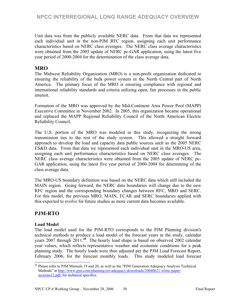Unit data was from the publicly available NERC data. From that data we represented each individual unit in the non-PJM RFC region, assigning each unit performance characteristics based on NERC class averages. The NERC class average characteristics were obtained from the 2005 update of NERC pc-GAR application, using the latest five year period of 2000-2004 for the determination of the class average data.

# **MRO**

The Midwest Reliability Organization (MRO) is a non-profit organization dedicated to ensuring the reliability of the bulk power system in the North Central part of North America. The primary focus of the MRO is ensuring compliance with regional and international reliability standards and criteria utilizing open, fair processes in the public interest.

Formation of the MRO was approved by the Mid-Continent Area Power Pool (MAPP) Executive Committee in November 2002. In 2005, this organization became operational and replaced the MAPP Regional Reliability Council of the North American Electric Reliability Council.

The U.S. portion of the MRO was modeled in this study, recognizing the strong transmission ties to the rest of the study system. This allowed a straight forward approach to develop the load and capacity data public sources such as the 2005 NERC ES&D data. From that data we represented each individual unit in the MRO-US area, assigning each unit performance characteristics based on NERC class averages. The NERC class average characteristics were obtained from the 2005 update of NERC pc-GAR application, using the latest five year period of 2000-2004 for determining of the class average data.

The MRO-US boundary definition was based on the NERC data which still included the MAIN region. Going forward, the NERC data boundaries will change due to the new RFC region and the corresponding boundary changes between RFC, MRO and SERC. For this model, the previous MRO, MAIN, ECAR and SERC boundaries applied with this expected to evolve for future studies as more current data becomes available.

# **PJM-RTO**

# **Load Model**

The load model used for the PJM-RTO corresponds to the PJM Planning division's technical methods to produce a load model of the forecast years in the study, calendar years 2007 through 2011.**<sup>20</sup>** The hourly load shape is based on observed 2002 calendar year values, which reflects representative weather and economic conditions for a peak planning study. The hourly loads were then adjusted per the PJM Load Forecast Report, February 2006, for the forecast monthly loads. This study modeled load forecast

l  $20$  Please refer to PJM Manuals 19 and 20, as well as the "PJM Generation Adequacy Analysis Technical Methods" at http://www.pjm.com/planning/res-adequacy/downloads/20040621-white-papersections12.pdf, for technical specifics.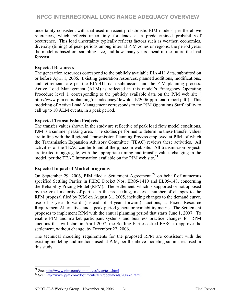uncertainty consistent with that used in recent probabilistic PJM models, per the above references, which reflects uncertainty for loads at a predetermined probability of occurrence. This load uncertainty typically reflects factors such as weather, economics, diversity (timing) of peak periods among internal PJM zones or regions, the period years the model is based on, sampling size, and how many years ahead in the future the load forecast.

### **Expected Resources**

The generation resources correspond to the publicly available EIA-411 data, submitted on or before April 1, 2006. Existing generation resources, planned additions, modifications, and retirements are per the EIA-411 data submission and the PJM planning process. Active Load Management (ALM) is reflected in this model's Emergency Operating Procedure level 1, corresponding to the publicly available data on the PJM web site ( http://www.pjm.com/planning/res-adequacy/downloads/2006-pjm-load-report.pdf ). This modeling of Active Load Management corresponds to the PJM Operations Staff ability to call up to 10 ALM events, in a peak period.

### **Expected Transmission Projects**

The transfer values shown in the study are reflective of peak load flow model conditions. PJM is a summer peaking area. The studies performed to determine these transfer values are in line with the Regional Transmission Planning Process employed at PJM, of which the Transmission Expansion Advisory Committee (TEAC) reviews these activities. All activities of the TEAC can be found at the pjm.com web site. All transmission projects are treated in aggregate, with the appropriate timing and transfer values changing in the model, per the TEAC information available on the PJM web site.**<sup>21</sup>**

# **Expected Impact of Market programs**

On September 29, 2006, PJM filed a Settlement Agreement **<sup>22</sup>** on behalf of numerous specified Settling Parties in FERC Docket Nos. ER05-1410 and EL05-148, concerning the Reliability Pricing Model (RPM). The settlement, which is supported or not opposed by the great majority of parties in the proceeding, makes a number of changes to the RPM proposal filed by PJM on August 31, 2005, including changes to the demand curve, use of 3-year forward (instead of 4-year forward) auctions, a Fixed Resource Requirement Alternative, and a peak-period generator availability metric. The Settlement proposes to implement RPM with the annual planning period that starts June 1, 2007. To enable PJM and market participant systems and business practice changes for RPM auctions that will start in April 2007, the Settling Parties asked FERC to approve the settlement, without change, by December 22, 2006.

The technical modeling requirements for the proposed RPM are consistent with the existing modeling and methods used at PJM, per the above modeling summaries used in this study.

<sup>&</sup>lt;sup>21</sup> See: http://www.pjm.com/committees/teac/teac.html

 $22$  See: http://www.pim.com/documents/ferc/documents/2006-d.html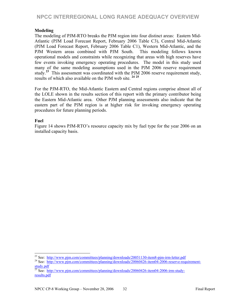#### **Modeling**

The modeling of PJM-RTO breaks the PJM region into four distinct areas: Eastern Mid-Atlantic (PJM Load Forecast Report, February 2006 Table C3), Central Mid-Atlantic (PJM Load Forecast Report, February 2006 Table C1), Western Mid-Atlantic, and the PJM Western areas combined with PJM South. This modeling follows known operational models and constraints while recognizing that areas with high reserves have few events invoking emergency operating procedures. The model in this study used many of the same modeling assumptions used in the PJM 2006 reserve requirement study.**<sup>23</sup>** This assessment was coordinated with the PJM 2006 reserve requirement study, results of which also available on the PJM web site. **<sup>24</sup> <sup>25</sup>**

For the PJM-RTO, the Mid-Atlantic Eastern and Central regions comprise almost all of the LOLE shown in the results section of this report with the primary contributor being the Eastern Mid-Atlantic area. Other PJM planning assessments also indicate that the eastern part of the PJM region is at higher risk for invoking emergency operating procedures for future planning periods.

#### **Fuel**

Figure 14 shows PJM-RTO's resource capacity mix by fuel type for the year 2006 on an installed capacity basis.

<sup>&</sup>lt;sup>23</sup> See: http://www.pjm.com/committees/planning/downloads/20051130-item8-pjm-irm-letter.pdf

<sup>&</sup>lt;sup>24</sup> See: http://www.pjm.com/committees/planning/downloads/20060426-item04-2006-reserve-requirementstudy.pdf

<sup>&</sup>lt;sup>25</sup> See: http://www.pjm.com/committees/planning/downloads/20060426-item04-2006-irm-studyresults.pdf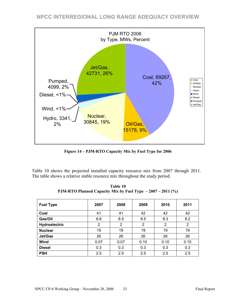

**Figure 14 – PJM-RTO Capacity Mix by Fuel Type for 2006** 

Table 10 shows the projected installed capacity resource mix from 2007 through 2011. The table shows a relative stable resource mix throughout the study period.

| <b>Fuel Type</b> | 2007           | 2008 | 2009 | 2010 | 2011 |
|------------------|----------------|------|------|------|------|
| Coal             | 41             | 41   | 42   | 42   | 42   |
| Gas/Oil          | 8.8            | 8.5  | 8.5  | 8.3  | 8.2  |
| Hydroelectric    | $\overline{2}$ | 2    | 2    | 2    | 2    |
| <b>Nuclear</b>   | 19             | 19   | 19   | 19   | 19   |
| Jet/Gas          | 26             | 26   | 26   | 26   | 26   |
| Wind             | 0.07           | 0.07 | 0.10 | 0.10 | 0.10 |
| <b>Diesel</b>    | 0.3            | 0.3  | 0.3  | 0.3  | 0.3  |
| <b>PSH</b>       | 2.5            | 2.5  | 2.5  | 2.5  | 2.5  |

**Table 10 PJM-RTO Planned Capacity Mix by Fuel Type – 2007 – 2011 (%)**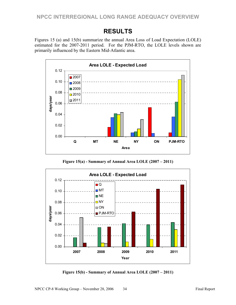# **RESULTS**

Figures 15 (a) and 15(b) summarize the annual Area Loss of Load Expectation (LOLE) estimated for the 2007-2011 period. For the PJM-RTO, the LOLE levels shown are primarily influenced by the Eastern Mid-Atlantic area.



**Figure 15(a) - Summary of Annual Area LOLE (2007 – 2011)** 



**Figure 15(b) - Summary of Annual Area LOLE (2007 – 2011)**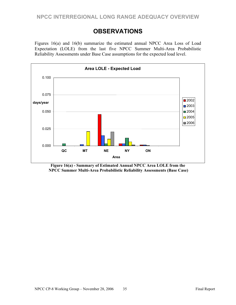# **OBSERVATIONS**

Figures 16(a) and 16(b) summarize the estimated annual NPCC Area Loss of Load Expectation (LOLE) from the last five NPCC Summer Multi-Area Probabilistic Reliability Assessments under Base Case assumptions for the expected load level.



**Figure 16(a) - Summary of Estimated Annual NPCC Area LOLE from the NPCC Summer Multi-Area Probabilistic Reliability Assessments (Base Case)**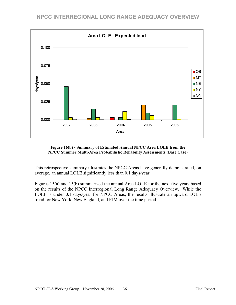



This retrospective summary illustrates the NPCC Areas have generally demonstrated, on average, an annual LOLE significantly less than 0.1 days/year.

Figures 15(a) and 15(b) summarized the annual Area LOLE for the next five years based on the results of the NPCC Interregional Long Range Adequacy Overview. While the LOLE is under 0.1 days/year for NPCC Areas, the results illustrate an upward LOLE trend for New York, New England, and PJM over the time period.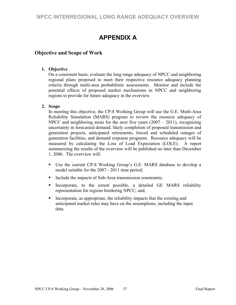# **APPENDIX A**

# **Objective and Scope of Work**

#### **1. Objective**

On a consistent basis, evaluate the long range adequacy of NPCC and neighboring regional plans proposed to meet their respective resource adequacy planning criteria through multi-area probabilistic assessments. Monitor and include the potential effects of proposed market mechanisms in NPCC and neighboring regions to provide for future adequacy in the overview.

#### **2. Scope**

In meeting this objective, the CP-8 Working Group will use the G.E. Multi-Area Reliability Simulation (MARS) program to review the resource adequacy of NPCC and neighboring areas for the next five years  $(2007 - 2011)$ , recognizing uncertainty in forecasted demand, likely completion of proposed transmission and generation projects, anticipated retirements, forced and scheduled outages of generation facilities, and demand response programs. Resource adequacy will be measured by calculating the Loss of Load Expectation (LOLE). A report summarizing the results of the overview will be published no later than December 1, 2006. The overview will:

- Use the current CP-8 Working Group's G.E. MARS database to develop a model suitable for the 2007 - 2011 time period;
- Include the impacts of Sub-Area transmission constraints;
- Incorporate, to the extent possible, a detailed GE MARS reliability representation for regions bordering NPCC; and,
- Incorporate, as appropriate, the reliability impacts that the existing and anticipated market rules may have on the assumptions, including the input data.